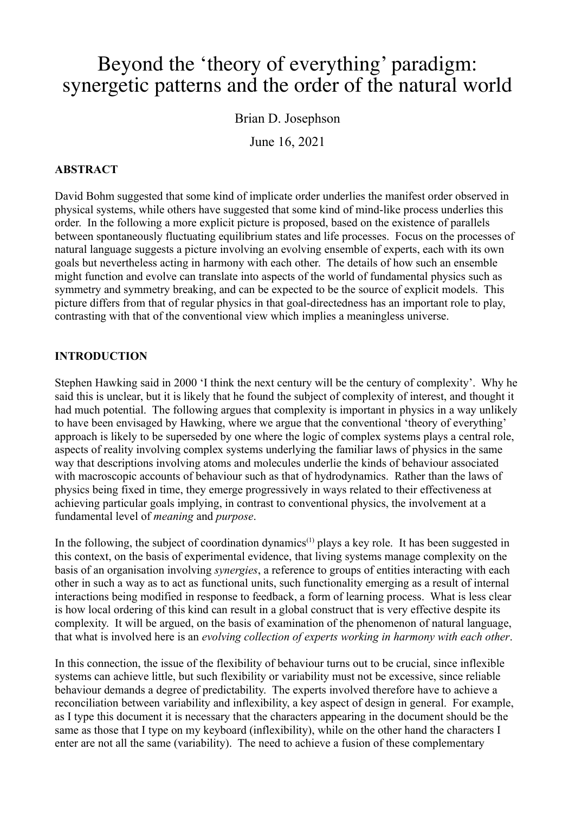# Beyond the 'theory of everything' paradigm: synergetic patterns and the order of the natural world

Brian D. Josephson

June 16, 2021

## **ABSTRACT**

David Bohm suggested that some kind of implicate order underlies the manifest order observed in physical systems, while others have suggested that some kind of mind-like process underlies this order. In the following a more explicit picture is proposed, based on the existence of parallels between spontaneously fluctuating equilibrium states and life processes. Focus on the processes of natural language suggests a picture involving an evolving ensemble of experts, each with its own goals but nevertheless acting in harmony with each other. The details of how such an ensemble might function and evolve can translate into aspects of the world of fundamental physics such as symmetry and symmetry breaking, and can be expected to be the source of explicit models. This picture differs from that of regular physics in that goal-directedness has an important role to play, contrasting with that of the conventional view which implies a meaningless universe.

# **INTRODUCTION**

Stephen Hawking said in 2000 'I think the next century will be the century of complexity'. Why he said this is unclear, but it is likely that he found the subject of complexity of interest, and thought it had much potential. The following argues that complexity is important in physics in a way unlikely to have been envisaged by Hawking, where we argue that the conventional 'theory of everything' approach is likely to be superseded by one where the logic of complex systems plays a central role, aspects of reality involving complex systems underlying the familiar laws of physics in the same way that descriptions involving atoms and molecules underlie the kinds of behaviour associated with macroscopic accounts of behaviour such as that of hydrodynamics. Rather than the laws of physics being fixed in time, they emerge progressively in ways related to their effectiveness at achieving particular goals implying, in contrast to conventional physics, the involvement at a fundamental level of *meaning* and *purpose*.

In the following, the subject of coordination dynamics<sup> $(1)$ </sup> plays a key role. It has been suggested in this context, on the basis of experimental evidence, that living systems manage complexity on the basis of an organisation involving *synergies*, a reference to groups of entities interacting with each other in such a way as to act as functional units, such functionality emerging as a result of internal interactions being modified in response to feedback, a form of learning process. What is less clear is how local ordering of this kind can result in a global construct that is very effective despite its complexity. It will be argued, on the basis of examination of the phenomenon of natural language, that what is involved here is an *evolving collection of experts working in harmony with each other*.

In this connection, the issue of the flexibility of behaviour turns out to be crucial, since inflexible systems can achieve little, but such flexibility or variability must not be excessive, since reliable behaviour demands a degree of predictability. The experts involved therefore have to achieve a reconciliation between variability and inflexibility, a key aspect of design in general. For example, as I type this document it is necessary that the characters appearing in the document should be the same as those that I type on my keyboard (inflexibility), while on the other hand the characters I enter are not all the same (variability). The need to achieve a fusion of these complementary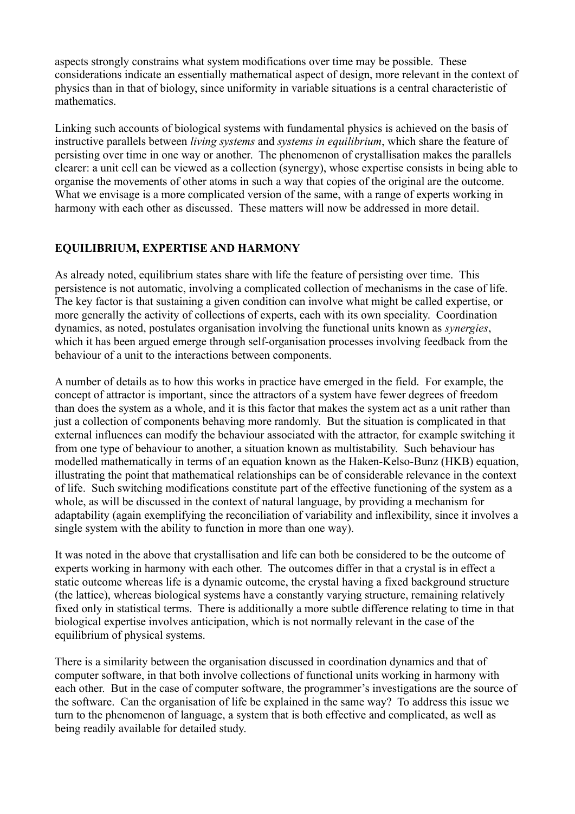aspects strongly constrains what system modifications over time may be possible. These considerations indicate an essentially mathematical aspect of design, more relevant in the context of physics than in that of biology, since uniformity in variable situations is a central characteristic of mathematics.

Linking such accounts of biological systems with fundamental physics is achieved on the basis of instructive parallels between *living systems* and *systems in equilibrium*, which share the feature of persisting over time in one way or another. The phenomenon of crystallisation makes the parallels clearer: a unit cell can be viewed as a collection (synergy), whose expertise consists in being able to organise the movements of other atoms in such a way that copies of the original are the outcome. What we envisage is a more complicated version of the same, with a range of experts working in harmony with each other as discussed. These matters will now be addressed in more detail.

## **EQUILIBRIUM, EXPERTISE AND HARMONY**

As already noted, equilibrium states share with life the feature of persisting over time. This persistence is not automatic, involving a complicated collection of mechanisms in the case of life. The key factor is that sustaining a given condition can involve what might be called expertise, or more generally the activity of collections of experts, each with its own speciality. Coordination dynamics, as noted, postulates organisation involving the functional units known as *synergies*, which it has been argued emerge through self-organisation processes involving feedback from the behaviour of a unit to the interactions between components.

A number of details as to how this works in practice have emerged in the field. For example, the concept of attractor is important, since the attractors of a system have fewer degrees of freedom than does the system as a whole, and it is this factor that makes the system act as a unit rather than just a collection of components behaving more randomly. But the situation is complicated in that external influences can modify the behaviour associated with the attractor, for example switching it from one type of behaviour to another, a situation known as multistability. Such behaviour has modelled mathematically in terms of an equation known as the Haken-Kelso-Bunz (HKB) equation, illustrating the point that mathematical relationships can be of considerable relevance in the context of life. Such switching modifications constitute part of the effective functioning of the system as a whole, as will be discussed in the context of natural language, by providing a mechanism for adaptability (again exemplifying the reconciliation of variability and inflexibility, since it involves a single system with the ability to function in more than one way).

It was noted in the above that crystallisation and life can both be considered to be the outcome of experts working in harmony with each other. The outcomes differ in that a crystal is in effect a static outcome whereas life is a dynamic outcome, the crystal having a fixed background structure (the lattice), whereas biological systems have a constantly varying structure, remaining relatively fixed only in statistical terms. There is additionally a more subtle difference relating to time in that biological expertise involves anticipation, which is not normally relevant in the case of the equilibrium of physical systems.

There is a similarity between the organisation discussed in coordination dynamics and that of computer software, in that both involve collections of functional units working in harmony with each other. But in the case of computer software, the programmer's investigations are the source of the software. Can the organisation of life be explained in the same way? To address this issue we turn to the phenomenon of language, a system that is both effective and complicated, as well as being readily available for detailed study.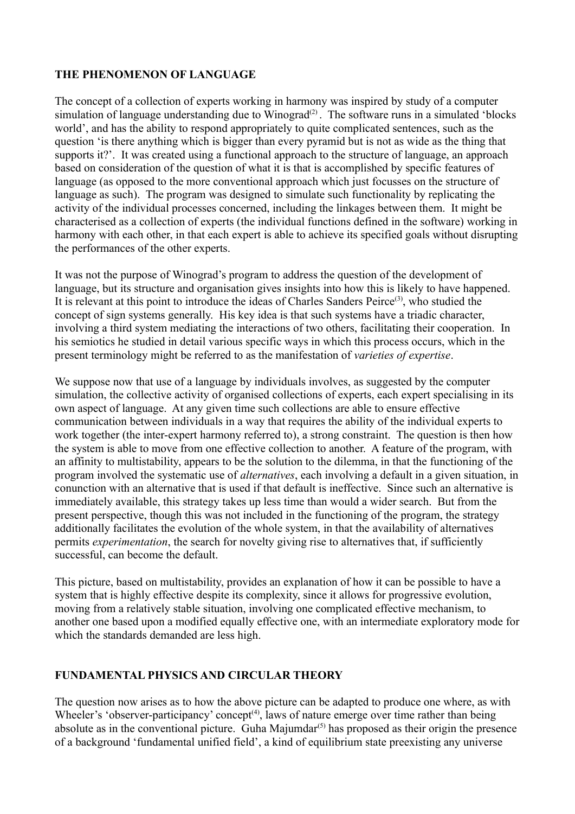### **THE PHENOMENON OF LANGUAGE**

The concept of a collection of experts working in harmony was inspired by study of a computer simulation of language understanding due to  $\overline{W}$ inograd<sup>(2)</sup>. The software runs in a simulated 'blocks world', and has the ability to respond appropriately to quite complicated sentences, such as the question 'is there anything which is bigger than every pyramid but is not as wide as the thing that supports it?'. It was created using a functional approach to the structure of language, an approach based on consideration of the question of what it is that is accomplished by specific features of language (as opposed to the more conventional approach which just focusses on the structure of language as such). The program was designed to simulate such functionality by replicating the activity of the individual processes concerned, including the linkages between them. It might be characterised as a collection of experts (the individual functions defined in the software) working in harmony with each other, in that each expert is able to achieve its specified goals without disrupting the performances of the other experts.

It was not the purpose of Winograd's program to address the question of the development of language, but its structure and organisation gives insights into how this is likely to have happened. It is relevant at this point to introduce the ideas of Charles Sanders Peirce<sup>(3)</sup>, who studied the concept of sign systems generally. His key idea is that such systems have a triadic character, involving a third system mediating the interactions of two others, facilitating their cooperation. In his semiotics he studied in detail various specific ways in which this process occurs, which in the present terminology might be referred to as the manifestation of *varieties of expertise*.

We suppose now that use of a language by individuals involves, as suggested by the computer simulation, the collective activity of organised collections of experts, each expert specialising in its own aspect of language. At any given time such collections are able to ensure effective communication between individuals in a way that requires the ability of the individual experts to work together (the inter-expert harmony referred to), a strong constraint. The question is then how the system is able to move from one effective collection to another. A feature of the program, with an affinity to multistability, appears to be the solution to the dilemma, in that the functioning of the program involved the systematic use of *alternatives*, each involving a default in a given situation, in conunction with an alternative that is used if that default is ineffective. Since such an alternative is immediately available, this strategy takes up less time than would a wider search. But from the present perspective, though this was not included in the functioning of the program, the strategy additionally facilitates the evolution of the whole system, in that the availability of alternatives permits *experimentation*, the search for novelty giving rise to alternatives that, if sufficiently successful, can become the default.

This picture, based on multistability, provides an explanation of how it can be possible to have a system that is highly effective despite its complexity, since it allows for progressive evolution, moving from a relatively stable situation, involving one complicated effective mechanism, to another one based upon a modified equally effective one, with an intermediate exploratory mode for which the standards demanded are less high.

#### **FUNDAMENTAL PHYSICS AND CIRCULAR THEORY**

The question now arises as to how the above picture can be adapted to produce one where, as with Wheeler's 'observer-participancy' concept<sup>(4)</sup>, laws of nature emerge over time rather than being absolute as in the conventional picture. Guha Majumdar $(5)$  has proposed as their origin the presence of a background 'fundamental unified field', a kind of equilibrium state preexisting any universe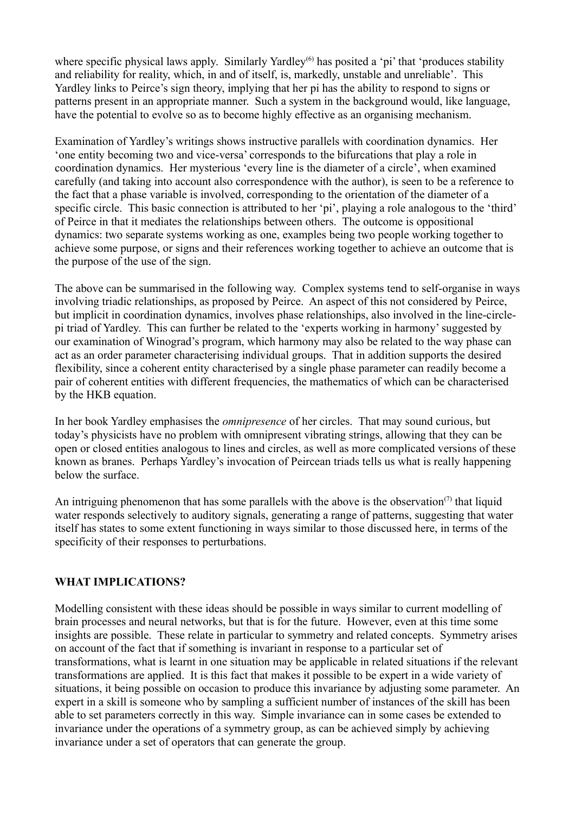where specific physical laws apply. Similarly Yardley<sup>(6)</sup> has posited a 'pi' that 'produces stability and reliability for reality, which, in and of itself, is, markedly, unstable and unreliable'. This Yardley links to Peirce's sign theory, implying that her pi has the ability to respond to signs or patterns present in an appropriate manner. Such a system in the background would, like language, have the potential to evolve so as to become highly effective as an organising mechanism.

Examination of Yardley's writings shows instructive parallels with coordination dynamics. Her 'one entity becoming two and vice-versa' corresponds to the bifurcations that play a role in coordination dynamics. Her mysterious 'every line is the diameter of a circle', when examined carefully (and taking into account also correspondence with the author), is seen to be a reference to the fact that a phase variable is involved, corresponding to the orientation of the diameter of a specific circle. This basic connection is attributed to her 'pi', playing a role analogous to the 'third' of Peirce in that it mediates the relationships between others. The outcome is oppositional dynamics: two separate systems working as one, examples being two people working together to achieve some purpose, or signs and their references working together to achieve an outcome that is the purpose of the use of the sign.

The above can be summarised in the following way. Complex systems tend to self-organise in ways involving triadic relationships, as proposed by Peirce. An aspect of this not considered by Peirce, but implicit in coordination dynamics, involves phase relationships, also involved in the line-circlepi triad of Yardley. This can further be related to the 'experts working in harmony' suggested by our examination of Winograd's program, which harmony may also be related to the way phase can act as an order parameter characterising individual groups. That in addition supports the desired flexibility, since a coherent entity characterised by a single phase parameter can readily become a pair of coherent entities with different frequencies, the mathematics of which can be characterised by the HKB equation.

In her book Yardley emphasises the *omnipresence* of her circles. That may sound curious, but today's physicists have no problem with omnipresent vibrating strings, allowing that they can be open or closed entities analogous to lines and circles, as well as more complicated versions of these known as branes. Perhaps Yardley's invocation of Peircean triads tells us what is really happening below the surface.

An intriguing phenomenon that has some parallels with the above is the observation<sup> $(7)$ </sup> that liquid water responds selectively to auditory signals, generating a range of patterns, suggesting that water itself has states to some extent functioning in ways similar to those discussed here, in terms of the specificity of their responses to perturbations.

#### **WHAT IMPLICATIONS?**

Modelling consistent with these ideas should be possible in ways similar to current modelling of brain processes and neural networks, but that is for the future. However, even at this time some insights are possible. These relate in particular to symmetry and related concepts. Symmetry arises on account of the fact that if something is invariant in response to a particular set of transformations, what is learnt in one situation may be applicable in related situations if the relevant transformations are applied. It is this fact that makes it possible to be expert in a wide variety of situations, it being possible on occasion to produce this invariance by adjusting some parameter. An expert in a skill is someone who by sampling a sufficient number of instances of the skill has been able to set parameters correctly in this way. Simple invariance can in some cases be extended to invariance under the operations of a symmetry group, as can be achieved simply by achieving invariance under a set of operators that can generate the group.